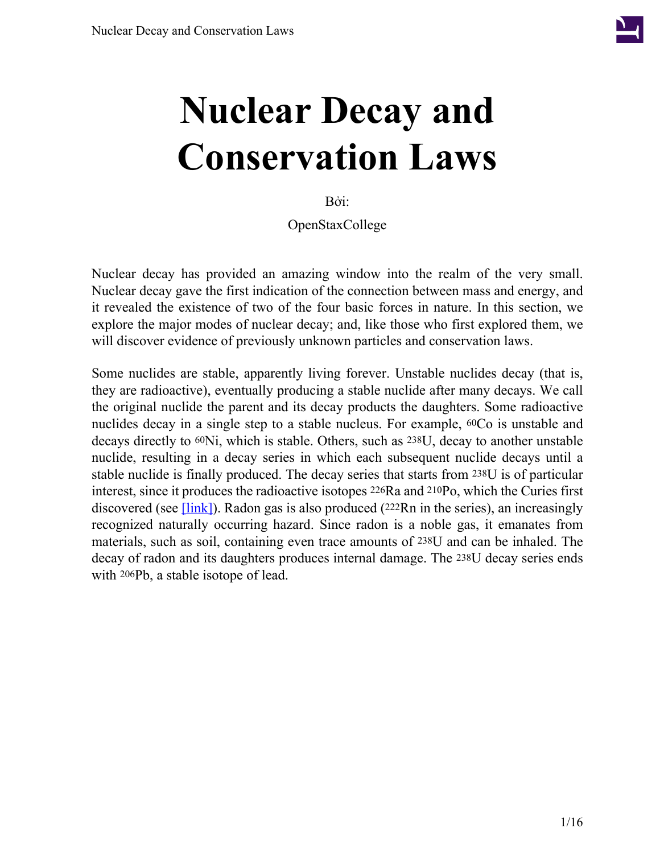

# **Nuclear Decay and Conservation Laws**

Bởi:

OpenStaxCollege

Nuclear decay has provided an amazing window into the realm of the very small. Nuclear decay gave the first indication of the connection between mass and energy, and it revealed the existence of two of the four basic forces in nature. In this section, we explore the major modes of nuclear decay; and, like those who first explored them, we will discover evidence of previously unknown particles and conservation laws.

Some nuclides are stable, apparently living forever. Unstable nuclides decay (that is, they are radioactive), eventually producing a stable nuclide after many decays. We call the original nuclide the parent and its decay products the daughters. Some radioactive nuclides decay in a single step to a stable nucleus. For example, 60Co is unstable and decays directly to 60Ni, which is stable. Others, such as 238U, decay to another unstable nuclide, resulting in a decay series in which each subsequent nuclide decays until a stable nuclide is finally produced. The decay series that starts from 238U is of particular interest, since it produces the radioactive isotopes 226Ra and 210Po, which the Curies first discovered (see  $[\text{link}]$ ). Radon gas is also produced (222Rn in the series), an increasingly recognized naturally occurring hazard. Since radon is a noble gas, it emanates from materials, such as soil, containing even trace amounts of 238U and can be inhaled. The decay of radon and its daughters produces internal damage. The 238U decay series ends with 206Pb, a stable isotope of lead.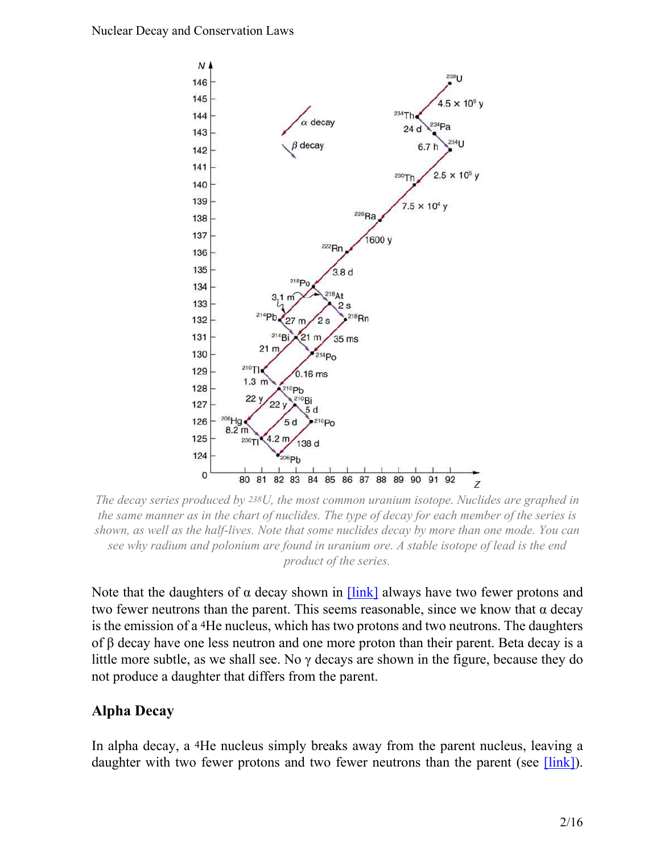<span id="page-1-0"></span>

*The decay series produced by 238U, the most common uranium isotope. Nuclides are graphed in the same manner as in the chart of nuclides. The type of decay for each member of the series is shown, as well as the half-lives. Note that some nuclides decay by more than one mode. You can see why radium and polonium are found in uranium ore. A stable isotope of lead is the end product of the series.*

Note that the daughters of  $\alpha$  decay shown in  $[\text{link}]$  always have two fewer protons and two fewer neutrons than the parent. This seems reasonable, since we know that α decay is the emission of a 4He nucleus, which has two protons and two neutrons. The daughters of β decay have one less neutron and one more proton than their parent. Beta decay is a little more subtle, as we shall see. No  $\gamma$  decays are shown in the figure, because they do not produce a daughter that differs from the parent.

#### **Alpha Decay**

In alpha decay, a 4He nucleus simply breaks away from the parent nucleus, leaving a daughter with two fewer protons and two fewer neutrons than the parent (see  $[\text{link}]$ ).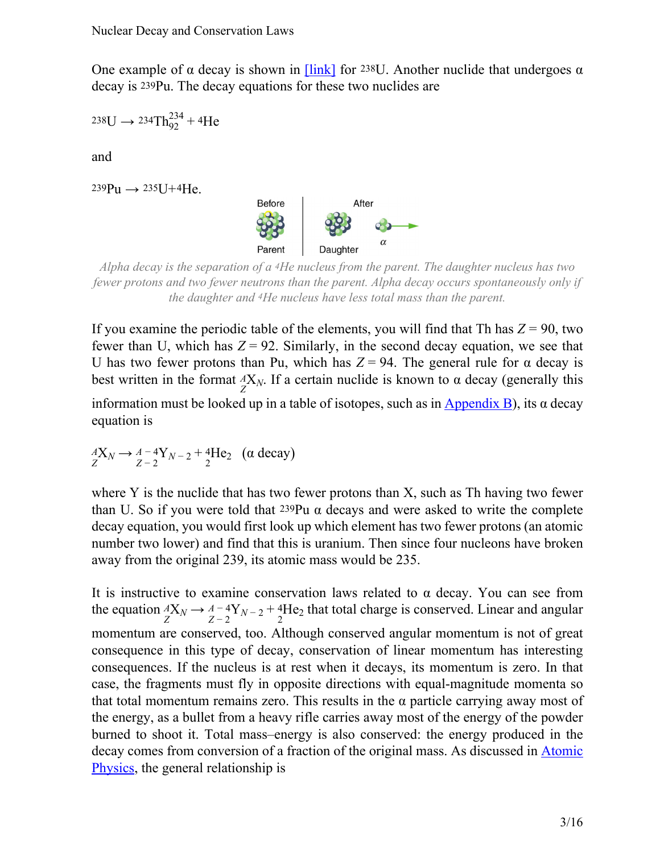One example of  $\alpha$  decay is shown in [\[link\]](#page-1-0) for 238U. Another nuclide that undergoes  $\alpha$ decay is 239Pu. The decay equations for these two nuclides are

 $238U \rightarrow 234Th_{92}^{234} + 4He$ 

and

<span id="page-2-0"></span> $239Pu \rightarrow 235U+4He$ .



*Alpha decay is the separation of a 4He nucleus from the parent. The daughter nucleus has two fewer protons and two fewer neutrons than the parent. Alpha decay occurs spontaneously only if the daughter and 4He nucleus have less total mass than the parent.*

If you examine the periodic table of the elements, you will find that Th has  $Z = 90$ , two fewer than U, which has  $Z = 92$ . Similarly, in the second decay equation, we see that U has two fewer protons than Pu, which has  $Z = 94$ . The general rule for  $\alpha$  decay is best written in the format  ${}_{Z}^{A}X_N$ . If a certain nuclide is known to  $\alpha$  decay (generally this information must be looked up in a table of isotopes, such as in  $\Delta$ ppendix B), its  $\alpha$  decay equation is

*A***X**<sub>*N*</sub> → *A* − 4**Y**<sub>*N*</sub> − 2</sub> + 4He<sub>2</sub> (α decay)

where Y is the nuclide that has two fewer protons than X, such as Th having two fewer than U. So if you were told that  $239Pu \alpha$  decays and were asked to write the complete decay equation, you would first look up which element has two fewer protons (an atomic number two lower) and find that this is uranium. Then since four nucleons have broken away from the original 239, its atomic mass would be 235.

It is instructive to examine conservation laws related to  $\alpha$  decay. You can see from the equation  ${}_{Z}^{A}X_{N} \rightarrow {}_{Z-2}^{A-4}Y_{N-2} + {}_{2}^{4}He_{2}$  that total charge is conserved. Linear and angular momentum are conserved, too. Although conserved angular momentum is not of great consequence in this type of decay, conservation of linear momentum has interesting consequences. If the nucleus is at rest when it decays, its momentum is zero. In that case, the fragments must fly in opposite directions with equal-magnitude momenta so that total momentum remains zero. This results in the α particle carrying away most of the energy, as a bullet from a heavy rifle carries away most of the energy of the powder burned to shoot it. Total mass–energy is also conserved: the energy produced in the decay comes from conversion of a fraction of the original mass. As discussed in **[Atomic](/m42585)** [Physics,](/m42585) the general relationship is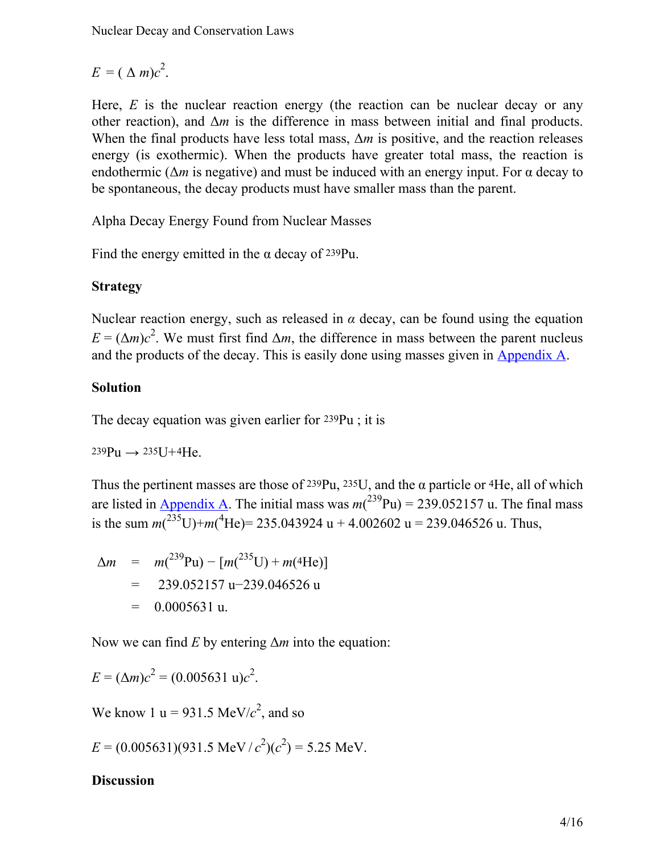$E = (\Delta m)c^2$ .

Here, *E* is the nuclear reaction energy (the reaction can be nuclear decay or any other reaction), and  $\Delta m$  is the difference in mass between initial and final products. When the final products have less total mass, Δ*m* is positive, and the reaction releases energy (is exothermic). When the products have greater total mass, the reaction is endothermic ( $\Delta m$  is negative) and must be induced with an energy input. For  $\alpha$  decay to be spontaneous, the decay products must have smaller mass than the parent.

Alpha Decay Energy Found from Nuclear Masses

Find the energy emitted in the  $\alpha$  decay of 239Pu.

#### **Strategy**

Nuclear reaction energy, such as released in  $\alpha$  decay, can be found using the equation  $E = (\Delta m)c^2$ . We must first find  $\Delta m$ , the difference in mass between the parent nucleus and the products of the decay. This is easily done using masses given in [Appendix A.](/m42699)

## **Solution**

The decay equation was given earlier for 239Pu ; it is

 $239Pu \rightarrow 235U+4He$ .

Thus the pertinent masses are those of  $239Pu$ ,  $235U$ , and the  $\alpha$  particle or  $4He$ , all of which are listed in **[Appendix](/m42699) A**. The initial mass was  $m(^{239}Pu) = 239.052157 u$ . The final mass is the sum  $m(^{235}U) + m(^{4}He) = 235.043924$  u + 4.002602 u = 239.046526 u. Thus,

$$
\Delta m = m(^{239}\text{Pu}) - [m(^{235}\text{U}) + m(^{4}\text{He})]
$$
  
= 239.052157 u-239.046526 u  
= 0.0005631 u.

Now we can find *E* by entering Δ*m* into the equation:

$$
E = (\Delta m)c^2 = (0.005631 \text{ u})c^2.
$$

We know 1 u =  $931.5$  MeV/ $c^2$ , and so

$$
E = (0.005631)(931.5 \text{ MeV}/c^2)(c^2) = 5.25 \text{ MeV}.
$$

#### **Discussion**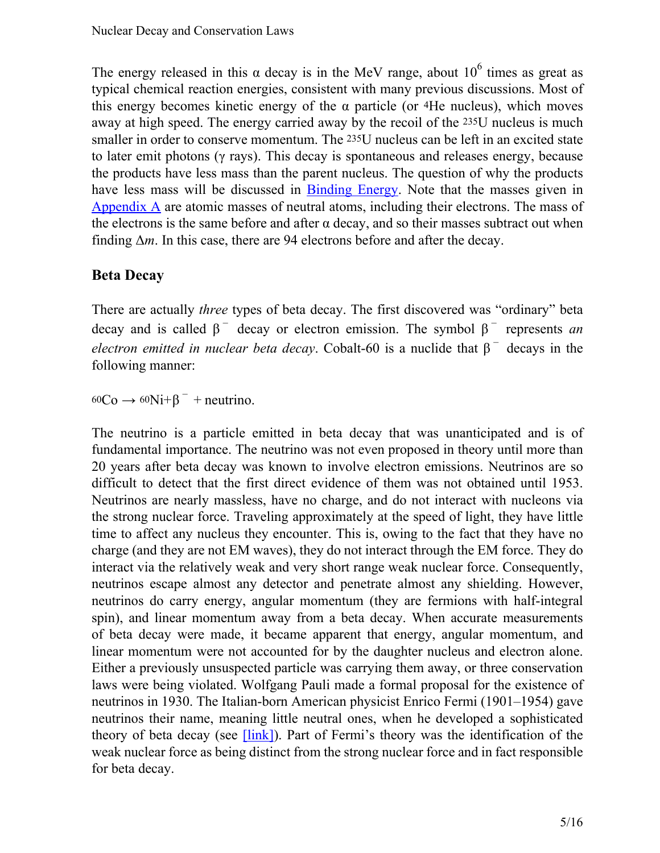The energy released in this  $\alpha$  decay is in the MeV range, about 10<sup>6</sup> times as great as typical chemical reaction energies, consistent with many previous discussions. Most of this energy becomes kinetic energy of the  $\alpha$  particle (or 4He nucleus), which moves away at high speed. The energy carried away by the recoil of the 235U nucleus is much smaller in order to conserve momentum. The 235U nucleus can be left in an excited state to later emit photons (γ rays). This decay is spontaneous and releases energy, because the products have less mass than the parent nucleus. The question of why the products have less mass will be discussed in [Binding](/m42640) Energy. Note that the masses given in [Appendix](/m42699) A are atomic masses of neutral atoms, including their electrons. The mass of the electrons is the same before and after  $\alpha$  decay, and so their masses subtract out when finding Δ*m*. In this case, there are 94 electrons before and after the decay.

## **Beta Decay**

There are actually *three* types of beta decay. The first discovered was "ordinary" beta decay and is called  $\beta^-$  decay or electron emission. The symbol  $\beta^-$  represents *an electron emitted in nuclear beta decay.* Cobalt-60 is a nuclide that  $\beta^-$  decays in the following manner:

 $^{60}Co \rightarrow ^{60}Ni+\beta^-$  + neutrino.

The neutrino is a particle emitted in beta decay that was unanticipated and is of fundamental importance. The neutrino was not even proposed in theory until more than 20 years after beta decay was known to involve electron emissions. Neutrinos are so difficult to detect that the first direct evidence of them was not obtained until 1953. Neutrinos are nearly massless, have no charge, and do not interact with nucleons via the strong nuclear force. Traveling approximately at the speed of light, they have little time to affect any nucleus they encounter. This is, owing to the fact that they have no charge (and they are not EM waves), they do not interact through the EM force. They do interact via the relatively weak and very short range weak nuclear force. Consequently, neutrinos escape almost any detector and penetrate almost any shielding. However, neutrinos do carry energy, angular momentum (they are fermions with half-integral spin), and linear momentum away from a beta decay. When accurate measurements of beta decay were made, it became apparent that energy, angular momentum, and linear momentum were not accounted for by the daughter nucleus and electron alone. Either a previously unsuspected particle was carrying them away, or three conservation laws were being violated. Wolfgang Pauli made a formal proposal for the existence of neutrinos in 1930. The Italian-born American physicist Enrico Fermi (1901–1954) gave neutrinos their name, meaning little neutral ones, when he developed a sophisticated theory of beta decay (see [\[link\]](#page-5-0)). Part of Fermi's theory was the identification of the weak nuclear force as being distinct from the strong nuclear force and in fact responsible for beta decay.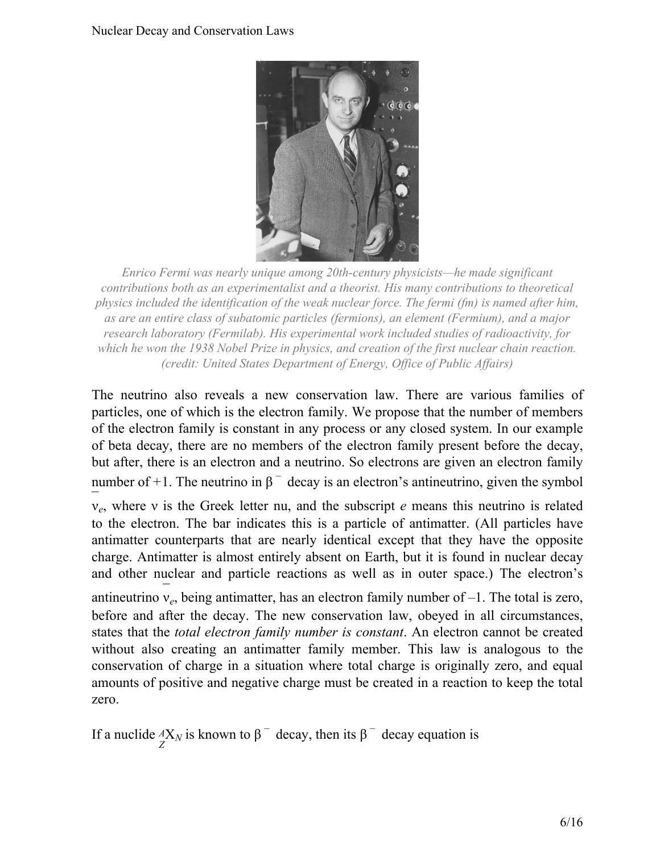

<span id="page-5-0"></span>*Enrico Fermi was nearly unique among 20th-century physicists—he made significant contributions both as an experimentalist and a theorist. His many contributions to theoretical physics included the identification of the weak nuclear force. The fermi (fm) is named after him, as are an entire class of subatomic particles (fermions), an element (Fermium), and a major research laboratory (Fermilab). His experimental work included studies of radioactivity, for which he won the 1938 Nobel Prize in physics, and creation of the first nuclear chain reaction. (credit: United States Department of Energy, Office of Public Affairs)*

The neutrino also reveals a new conservation law. There are various families of particles, one of which is the electron family. We propose that the number of members of the electron family is constant in any process or any closed system. In our example of beta decay, there are no members of the electron family present before the decay, but after, there is an electron and a neutrino. So electrons are given an electron family number of +1. The neutrino in  $\beta^-$  decay is an electron's antineutrino, given the symbol

¯ ν*e* , where ν is the Greek letter nu, and the subscript *e* means this neutrino is related to the electron. The bar indicates this is a particle of antimatter. (All particles have antimatter counterparts that are nearly identical except that they have the opposite charge. Antimatter is almost entirely absent on Earth, but it is found in nuclear decay and other nuclear and particle reactions as well as in outer space.) The electron's

antineutrino  $v_e$ , being antimatter, has an electron family number of  $-1$ . The total is zero, before and after the decay. The new conservation law, obeyed in all circumstances, states that the *total electron family number is constant*. An electron cannot be created without also creating an antimatter family member. This law is analogous to the conservation of charge in a situation where total charge is originally zero, and equal amounts of positive and negative charge must be created in a reaction to keep the total zero.

If a nuclide  $^A_X$ *N*<sub>*N*</sub> is known to β<sup>-</sup> decay, then its β<sup>-</sup> decay equation is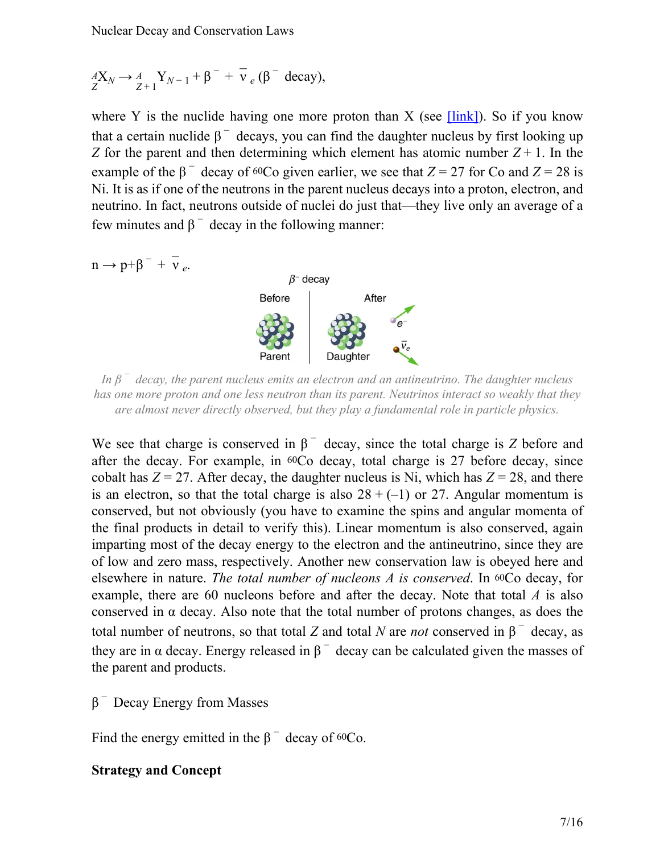$$
{}_{Z}^{A}\mathbf{X}_{N} \rightarrow {}_{Z+1}^{A}\mathbf{Y}_{N-1} + \beta^{-} + \overline{\nu}_{e} (\beta^{-} decay),
$$

where Y is the nuclide having one more proton than X (see  $[\text{link}]$ ). So if you know that a certain nuclide  $\beta^-$  decays, you can find the daughter nucleus by first looking up *Z* for the parent and then determining which element has atomic number  $Z + 1$ . In the example of the  $\beta$ <sup>-</sup> decay of <sup>60</sup>Co given earlier, we see that *Z* = 27 for Co and *Z* = 28 is Ni. It is as if one of the neutrons in the parent nucleus decays into a proton, electron, and neutrino. In fact, neutrons outside of nuclei do just that—they live only an average of a few minutes and  $β<sup>-</sup>$  decay in the following manner:

<span id="page-6-0"></span>

*In β − decay, the parent nucleus emits an electron and an antineutrino. The daughter nucleus has one more proton and one less neutron than its parent. Neutrinos interact so weakly that they are almost never directly observed, but they play a fundamental role in particle physics.*

We see that charge is conserved in  $\beta^-$  decay, since the total charge is *Z* before and after the decay. For example, in 60Co decay, total charge is 27 before decay, since cobalt has  $Z = 27$ . After decay, the daughter nucleus is Ni, which has  $Z = 28$ , and there is an electron, so that the total charge is also  $28 + (-1)$  or 27. Angular momentum is conserved, but not obviously (you have to examine the spins and angular momenta of the final products in detail to verify this). Linear momentum is also conserved, again imparting most of the decay energy to the electron and the antineutrino, since they are of low and zero mass, respectively. Another new conservation law is obeyed here and elsewhere in nature. *The total number of nucleons A is conserved*. In 60Co decay, for example, there are 60 nucleons before and after the decay. Note that total *A* is also conserved in  $\alpha$  decay. Also note that the total number of protons changes, as does the total number of neutrons, so that total *Z* and total *N* are *not* conserved in  $β<sup>-</sup>$  decay, as they are in  $\alpha$  decay. Energy released in  $\beta$ <sup>-</sup> decay can be calculated given the masses of the parent and products.

 $\beta$ <sup>-</sup> Decay Energy from Masses

Find the energy emitted in the  $\beta$ <sup>-</sup> decay of <sup>60</sup>Co.

#### **Strategy and Concept**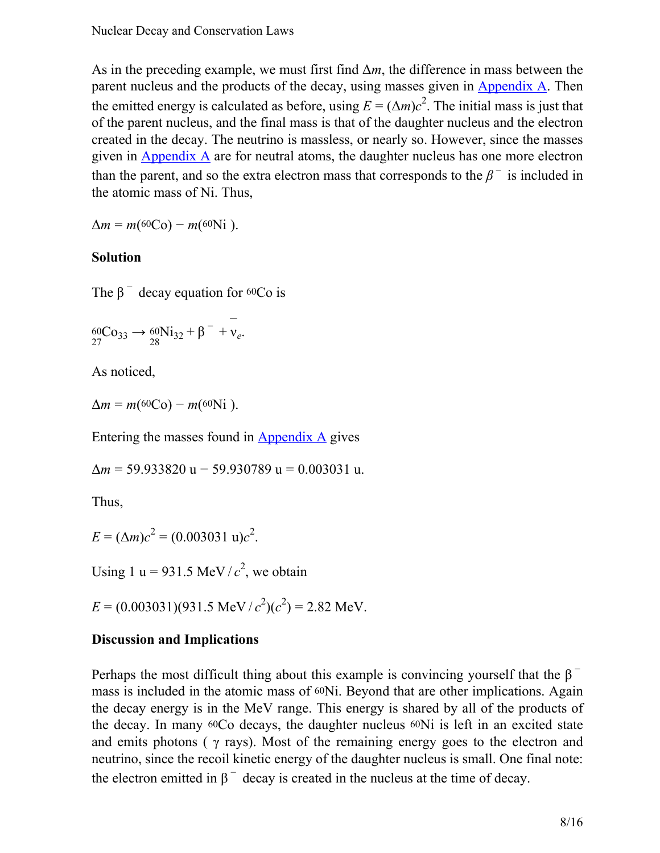As in the preceding example, we must first find  $\Delta m$ , the difference in mass between the parent nucleus and the products of the decay, using masses given in  $\Delta$ ppendix  $\Delta$ . Then the emitted energy is calculated as before, using  $E = (\Delta m)c^2$ . The initial mass is just that of the parent nucleus, and the final mass is that of the daughter nucleus and the electron created in the decay. The neutrino is massless, or nearly so. However, since the masses given in [Appendix](/m42699) A are for neutral atoms, the daughter nucleus has one more electron than the parent, and so the extra electron mass that corresponds to the  $\beta^-$  is included in the atomic mass of Ni. Thus,

 $\Delta m = m(60 \text{Co}) - m(60 \text{Ni}).$ 

#### **Solution**

The  $\beta$ <sup>-</sup> decay equation for <sup>60</sup>Co is

$$
{}_{27}^{60}Co_{33} \rightarrow {}_{28}^{60}Ni_{32} + \beta^- + \nu_e.
$$

As noticed,

 $\Delta m = m(60 \text{Co}) - m(60 \text{Ni}).$ 

Entering the masses found in [Appendix A](/m42699) gives

Δ*m* = 59.933820 u − 59.930789 u = 0.003031 u.

Thus,

 $E = (\Delta m)c^2 = (0.003031 \text{ u})c^2$ .

Using 1 u = 931.5 MeV/ $c^2$ , we obtain

 $E = (0.003031)(931.5 \text{ MeV}/c^2)(c^2) = 2.82 \text{ MeV}.$ 

#### **Discussion and Implications**

Perhaps the most difficult thing about this example is convincing yourself that the  $\beta$ <sup>-</sup> mass is included in the atomic mass of 60Ni. Beyond that are other implications. Again the decay energy is in the MeV range. This energy is shared by all of the products of the decay. In many 60Co decays, the daughter nucleus 60Ni is left in an excited state and emits photons ( $\gamma$  rays). Most of the remaining energy goes to the electron and neutrino, since the recoil kinetic energy of the daughter nucleus is small. One final note: the electron emitted in  $\beta^-$  decay is created in the nucleus at the time of decay.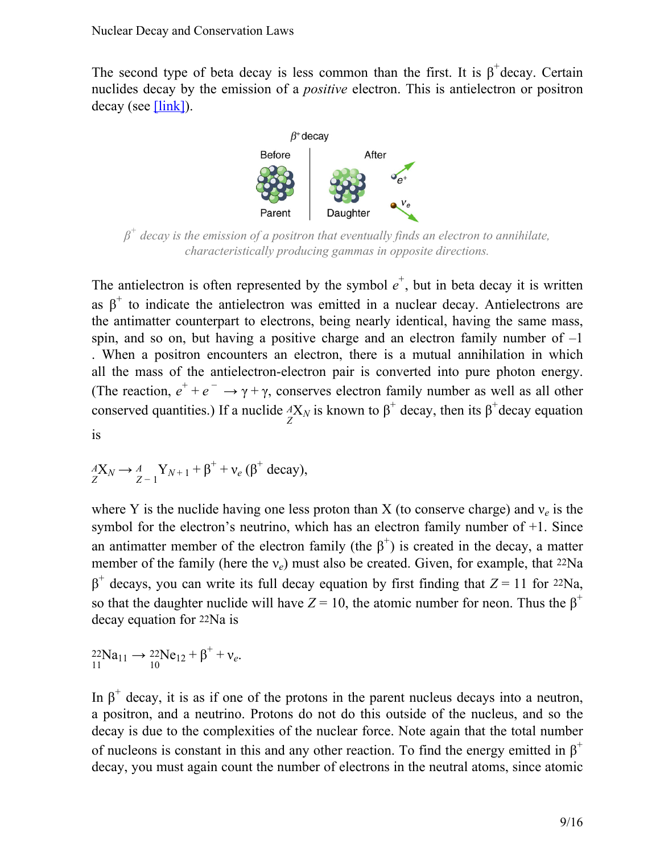<span id="page-8-0"></span>The second type of beta decay is less common than the first. It is  $\beta^+$ decay. Certain nuclides decay by the emission of a *positive* electron. This is antielectron or positron  $decay$  (see  $[link]$ ).



*β + decay is the emission of a positron that eventually finds an electron to annihilate, characteristically producing gammas in opposite directions.*

The antielectron is often represented by the symbol  $e^+$ , but in beta decay it is written as  $\beta^+$  to indicate the antielectron was emitted in a nuclear decay. Antielectrons are the antimatter counterpart to electrons, being nearly identical, having the same mass, spin, and so on, but having a positive charge and an electron family number of  $-1$ . When a positron encounters an electron, there is a mutual annihilation in which all the mass of the antielectron-electron pair is converted into pure photon energy. (The reaction,  $e^+ + e^- \rightarrow \gamma + \gamma$ , conserves electron family number as well as all other conserved quantities.) If a nuclide  $_A^A X_N$  is known to  $\beta^+$  decay, then its  $\beta^+$  decay equation is

$$
{}_{Z}^{A}X_{N} \rightarrow {}_{Z-1}^{A}Y_{N+1} + \beta^{+} + v_{e} (\beta^{+} decay),
$$

where Y is the nuclide having one less proton than X (to conserve charge) and  $v_e$  is the symbol for the electron's neutrino, which has an electron family number of +1. Since an antimatter member of the electron family (the  $\beta^+$ ) is created in the decay, a matter member of the family (here the  $v_e$ ) must also be created. Given, for example, that <sup>22</sup>Na  $β<sup>+</sup>$  decays, you can write its full decay equation by first finding that *Z* = 11 for 22Na, so that the daughter nuclide will have  $Z = 10$ , the atomic number for neon. Thus the  $\beta^+$ decay equation for 22Na is

$$
^{22}_{11}Na_{11} \rightarrow ^{22}_{10}Ne_{12} + \beta^+ + \nu_e.
$$

In  $\beta^+$  decay, it is as if one of the protons in the parent nucleus decays into a neutron, a positron, and a neutrino. Protons do not do this outside of the nucleus, and so the decay is due to the complexities of the nuclear force. Note again that the total number of nucleons is constant in this and any other reaction. To find the energy emitted in  $\beta^+$ decay, you must again count the number of electrons in the neutral atoms, since atomic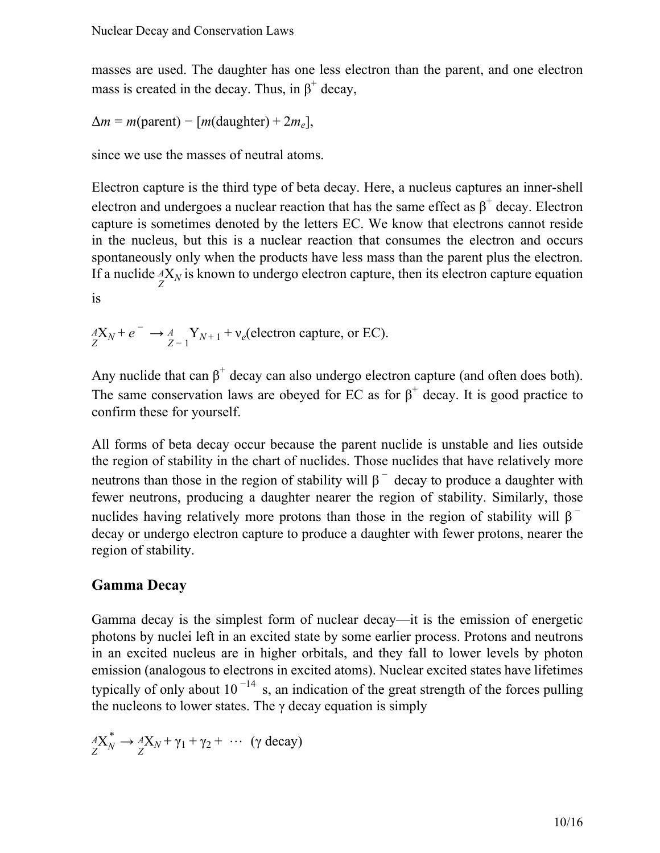masses are used. The daughter has one less electron than the parent, and one electron mass is created in the decay. Thus, in  $\beta^+$  decay,

$$
\Delta m = m(\text{parent}) - [m(\text{daughter}) + 2m_e],
$$

since we use the masses of neutral atoms.

Electron capture is the third type of beta decay. Here, a nucleus captures an inner-shell electron and undergoes a nuclear reaction that has the same effect as  $\beta^+$  decay. Electron capture is sometimes denoted by the letters EC. We know that electrons cannot reside in the nucleus, but this is a nuclear reaction that consumes the electron and occurs spontaneously only when the products have less mass than the parent plus the electron. If a nuclide  ${}_{Z}^{A}X_{N}$  is known to undergo electron capture, then its electron capture equation is

$$
\frac{dX_N}{Z} + e^- \longrightarrow \frac{A}{Z-1} Y_{N+1} + v_e
$$
 (electron capture, or EC).

Any nuclide that can  $\beta^+$  decay can also undergo electron capture (and often does both). The same conservation laws are obeyed for EC as for  $\beta^+$  decay. It is good practice to confirm these for yourself.

All forms of beta decay occur because the parent nuclide is unstable and lies outside the region of stability in the chart of nuclides. Those nuclides that have relatively more neutrons than those in the region of stability will  $\beta^-$  decay to produce a daughter with fewer neutrons, producing a daughter nearer the region of stability. Similarly, those nuclides having relatively more protons than those in the region of stability will  $\beta^$ decay or undergo electron capture to produce a daughter with fewer protons, nearer the region of stability.

#### **Gamma Decay**

Gamma decay is the simplest form of nuclear decay—it is the emission of energetic photons by nuclei left in an excited state by some earlier process. Protons and neutrons in an excited nucleus are in higher orbitals, and they fall to lower levels by photon emission (analogous to electrons in excited atoms). Nuclear excited states have lifetimes typically of only about  $10^{-14}$  s, an indication of the great strength of the forces pulling the nucleons to lower states. The  $\gamma$  decay equation is simply

$$
A_{Z}^{*}X_{N}^{*} \to A_{Z}^{*}X_{N} + \gamma_{1} + \gamma_{2} + \cdots \quad (\gamma \text{ decay})
$$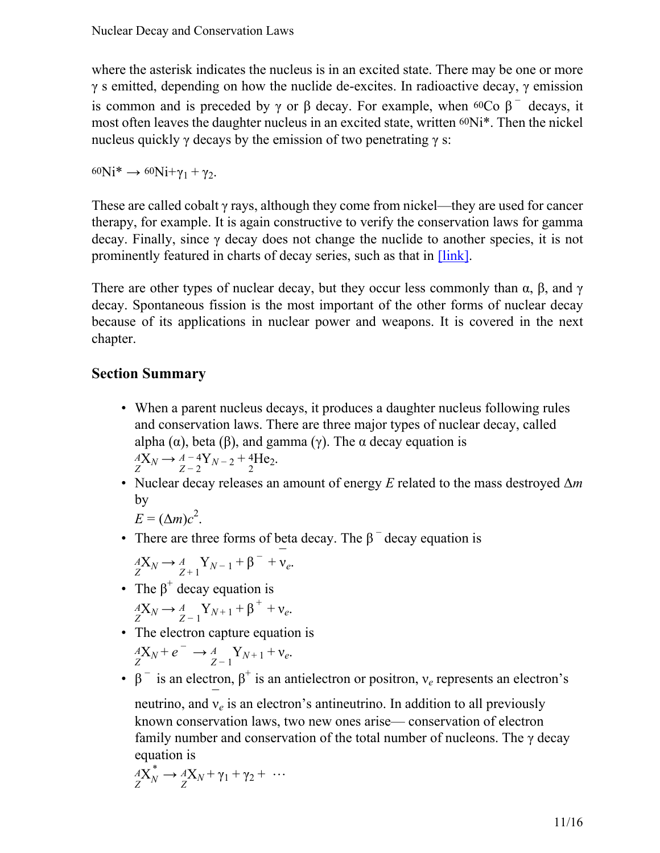where the asterisk indicates the nucleus is in an excited state. There may be one or more  $γ$  s emitted, depending on how the nuclide de-excites. In radioactive decay,  $γ$  emission is common and is preceded by γ or β decay. For example, when <sup>60</sup>Co  $\beta^-$  decays, it most often leaves the daughter nucleus in an excited state, written 60Ni\*. Then the nickel nucleus quickly γ decays by the emission of two penetrating  $\gamma$  s:

 $60Ni^* \rightarrow 60Ni + \gamma_1 + \gamma_2$ .

These are called cobalt  $\gamma$  rays, although they come from nickel—they are used for cancer therapy, for example. It is again constructive to verify the conservation laws for gamma decay. Finally, since  $\gamma$  decay does not change the nuclide to another species, it is not prominently featured in charts of decay series, such as that in [\[link\]](#page-1-0).

There are other types of nuclear decay, but they occur less commonly than  $\alpha$ ,  $\beta$ , and  $\gamma$ decay. Spontaneous fission is the most important of the other forms of nuclear decay because of its applications in nuclear power and weapons. It is covered in the next chapter.

# **Section Summary**

- When a parent nucleus decays, it produces a daughter nucleus following rules and conservation laws. There are three major types of nuclear decay, called alpha  $(\alpha)$ , beta  $(\beta)$ , and gamma  $(\gamma)$ . The  $\alpha$  decay equation is  $\frac{dX_N}{dX_N}$   $\to \frac{A-4Y_{N-2}+4He_2}{2}.$
- Nuclear decay releases an amount of energy *E* related to the mass destroyed Δ*m* by

 $E = (\Delta m)c^2$ .

• There are three forms of beta decay. The  $\beta^-$  decay equation is

$$
\underset{Z}{\overset{A}{\longrightarrow}} X_N \longrightarrow \underset{Z+1}{\overset{A}{\longrightarrow}} Y_{N-1} + \beta^- + \underset{V_e}{\overset{-}{\longrightarrow}}.
$$

- The  $\beta^+$  decay equation is  $\frac{dX_N}{dX_N} \to \frac{A}{Z-1} Y_{N+1} + \beta^+ + v_e.$
- The electron capture equation is

$$
\underset{Z}{A}\mathbf{X}_N + e^- \rightarrow \underset{Z-1}{A} \mathbf{Y}_{N+1} + \mathbf{v}_e.
$$

•  $\beta$ <sup>-</sup> is an electron,  $\beta$ <sup>+</sup> is an antielectron or positron,  $v_e$  represents an electron's

neutrino, and  $v_e$  is an electron's antineutrino. In addition to all previously known conservation laws, two new ones arise— conservation of electron family number and conservation of the total number of nucleons. The  $\gamma$  decay equation is

$$
A_{Z}^{\prime X} \rightarrow A_{Z}^{\prime X} X_N + \gamma_1 + \gamma_2 + \cdots
$$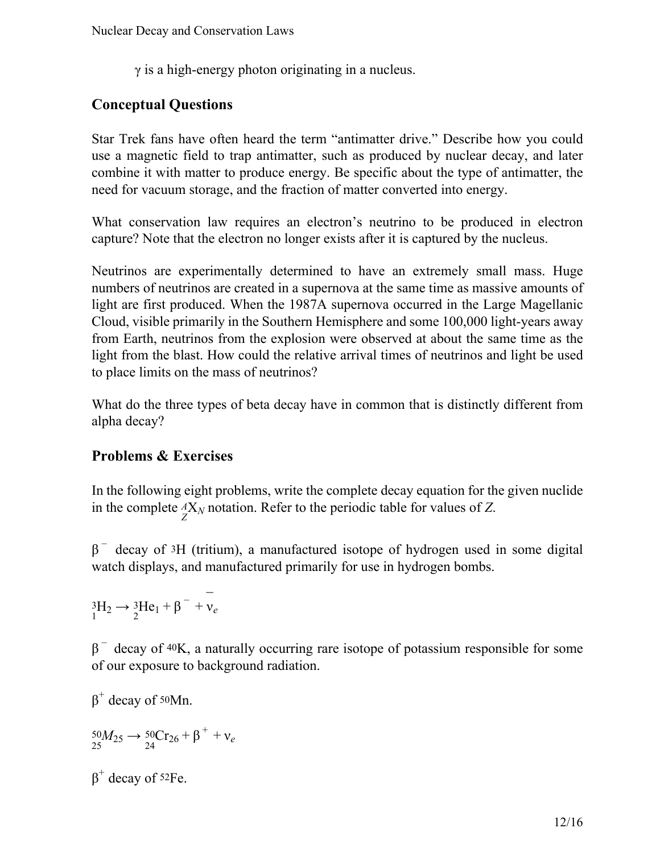$\gamma$  is a high-energy photon originating in a nucleus.

# **Conceptual Questions**

Star Trek fans have often heard the term "antimatter drive." Describe how you could use a magnetic field to trap antimatter, such as produced by nuclear decay, and later combine it with matter to produce energy. Be specific about the type of antimatter, the need for vacuum storage, and the fraction of matter converted into energy.

What conservation law requires an electron's neutrino to be produced in electron capture? Note that the electron no longer exists after it is captured by the nucleus.

Neutrinos are experimentally determined to have an extremely small mass. Huge numbers of neutrinos are created in a supernova at the same time as massive amounts of light are first produced. When the 1987A supernova occurred in the Large Magellanic Cloud, visible primarily in the Southern Hemisphere and some 100,000 light-years away from Earth, neutrinos from the explosion were observed at about the same time as the light from the blast. How could the relative arrival times of neutrinos and light be used to place limits on the mass of neutrinos?

What do the three types of beta decay have in common that is distinctly different from alpha decay?

# **Problems & Exercises**

In the following eight problems, write the complete decay equation for the given nuclide in the complete  ${}_{Z}^{A}X_N$  notation. Refer to the periodic table for values of *Z*.

 $β$ <sup>-</sup> decay of <sup>3</sup>H (tritium), a manufactured isotope of hydrogen used in some digital watch displays, and manufactured primarily for use in hydrogen bombs.

 ${}_{1}^{3}\text{H}_{2} \rightarrow {}_{2}^{3}\text{He}_{1} + \beta^{-} + \overline{v}_{e}$ 

 $β$ <sup>-</sup> decay of <sup>40</sup>K, a naturally occurring rare isotope of potassium responsible for some of our exposure to background radiation.

 $β<sup>+</sup> decay of 50Mn.$  ${}_{25}^{50}M_{25}$  →  ${}_{24}^{50}Cr_{26} + β^+ + v_e$  $β<sup>+</sup> decay of 52Fe.$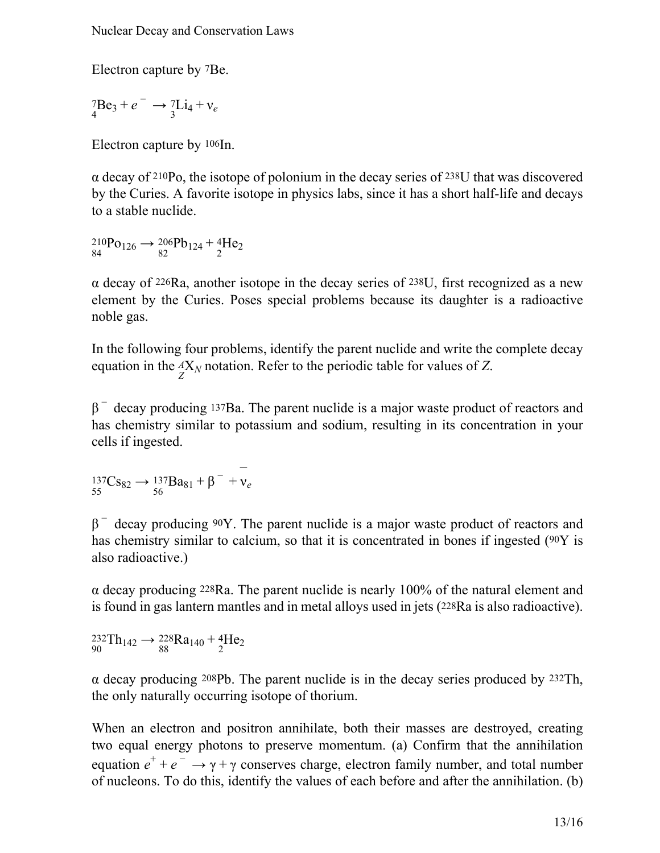Electron capture by 7Be.

 ${}^{7}_{4}Be_{3}+e^{-} \rightarrow {}^{7}_{3}Li_{4}+v_{e}$ 

Electron capture by 106In.

α decay of 210Po, the isotope of polonium in the decay series of 238U that was discovered by the Curies. A favorite isotope in physics labs, since it has a short half-life and decays to a stable nuclide.

 ${}^{210}P_{0126} \rightarrow {}^{206}P_{124} + {}^{4}_{2}He_{2}$ <br>84

 $\alpha$  decay of 226Ra, another isotope in the decay series of 238U, first recognized as a new element by the Curies. Poses special problems because its daughter is a radioactive noble gas.

In the following four problems, identify the parent nuclide and write the complete decay equation in the  ${}^{A}_{Z}X_N$  notation. Refer to the periodic table for values of *Z*.

 $\beta$ <sup>-</sup> decay producing <sup>137</sup>Ba. The parent nuclide is a major waste product of reactors and has chemistry similar to potassium and sodium, resulting in its concentration in your cells if ingested.

$$
{}_{55}^{137}\text{Cs}_{82} \rightarrow {}_{56}^{137}\text{Ba}_{81} + \beta^- + \bar{v}_e
$$

 $β$ <sup>-</sup> decay producing 90Y. The parent nuclide is a major waste product of reactors and has chemistry similar to calcium, so that it is concentrated in bones if ingested (90Y is also radioactive.)

α decay producing 228Ra. The parent nuclide is nearly 100% of the natural element and is found in gas lantern mantles and in metal alloys used in jets (228Ra is also radioactive).

 $^{232}\text{Th}_{142} \rightarrow ^{228}\text{Ra}_{140} + ^{4}\text{He}_2$ <br>90

α decay producing 208Pb. The parent nuclide is in the decay series produced by 232Th, the only naturally occurring isotope of thorium.

When an electron and positron annihilate, both their masses are destroyed, creating two equal energy photons to preserve momentum. (a) Confirm that the annihilation equation  $e^+ + e^- \rightarrow \gamma + \gamma$  conserves charge, electron family number, and total number of nucleons. To do this, identify the values of each before and after the annihilation. (b)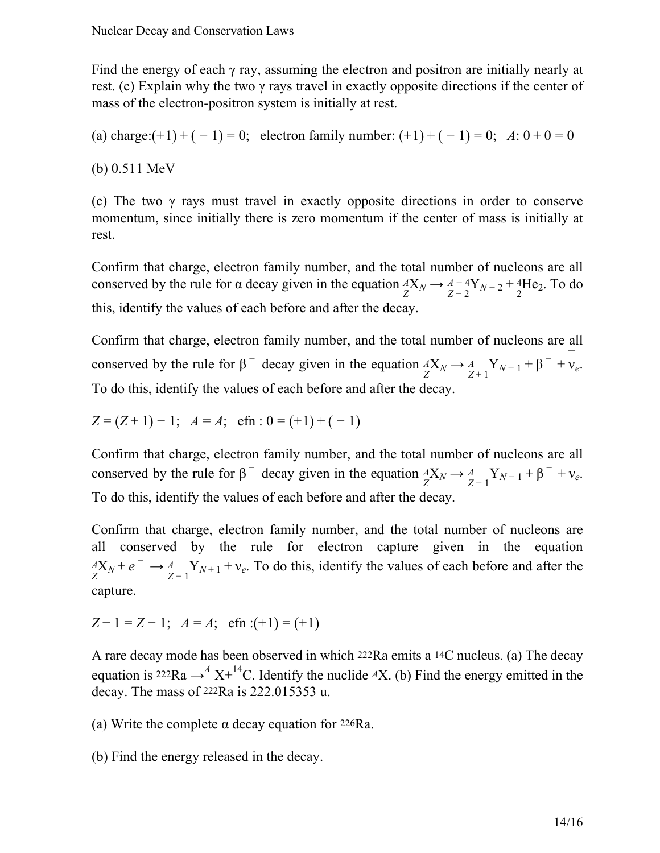Find the energy of each γ ray, assuming the electron and positron are initially nearly at rest. (c) Explain why the two γ rays travel in exactly opposite directions if the center of mass of the electron-positron system is initially at rest.

(a) charge: $(+1) + (-1) = 0$ ; electron family number:  $(+1) + (-1) = 0$ ;  $A: 0 + 0 = 0$ 

(b) 0.511 MeV

(c) The two γ rays must travel in exactly opposite directions in order to conserve momentum, since initially there is zero momentum if the center of mass is initially at rest.

Confirm that charge, electron family number, and the total number of nucleons are all conserved by the rule for  $\alpha$  decay given in the equation  ${}_{Z}^{A}X_{N} \rightarrow {}_{Z-2}^{A-4}Y_{N-2} + {}_{2}^{4}He_{2}$ . To do this, identify the values of each before and after the decay.

Confirm that charge, electron family number, and the total number of nucleons are all conserved by the rule for  $\beta^-$  decay given in the equation  ${}^A_XX_N \to {}^A_{Z+1}Y_{N-1} + \beta^- + \bar{V}_e$ . To do this, identify the values of each before and after the decay.

 $Z = (Z + 1) - 1$ ;  $A = A$ ; efn :  $0 = (+1) + (-1)$ 

Confirm that charge, electron family number, and the total number of nucleons are all conserved by the rule for  $\beta^-$  decay given in the equation  $\frac{dX_N}{dX_N} \to \frac{A}{Z-1} Y_{N-1} + \beta^- + v_e$ . To do this, identify the values of each before and after the decay.

Confirm that charge, electron family number, and the total number of nucleons are all conserved by the rule for electron capture given in the equation  $\frac{dX_N}{dz} + e^- \rightarrow \frac{A}{Z-1} Y_{N+1} + v_e$ . To do this, identify the values of each before and after the capture.

 $Z - 1 = Z - 1$ ;  $A = A$ ; efn :(+1) = (+1)

A rare decay mode has been observed in which 222Ra emits a 14C nucleus. (a) The decay equation is <sup>222</sup>Ra  $\rightarrow$ <sup>*A*</sup> X<sup>+14</sup>C. Identify the nuclide *A*X. (b) Find the energy emitted in the decay. The mass of 222Ra is 222.015353 u.

(a) Write the complete α decay equation for 226Ra.

(b) Find the energy released in the decay.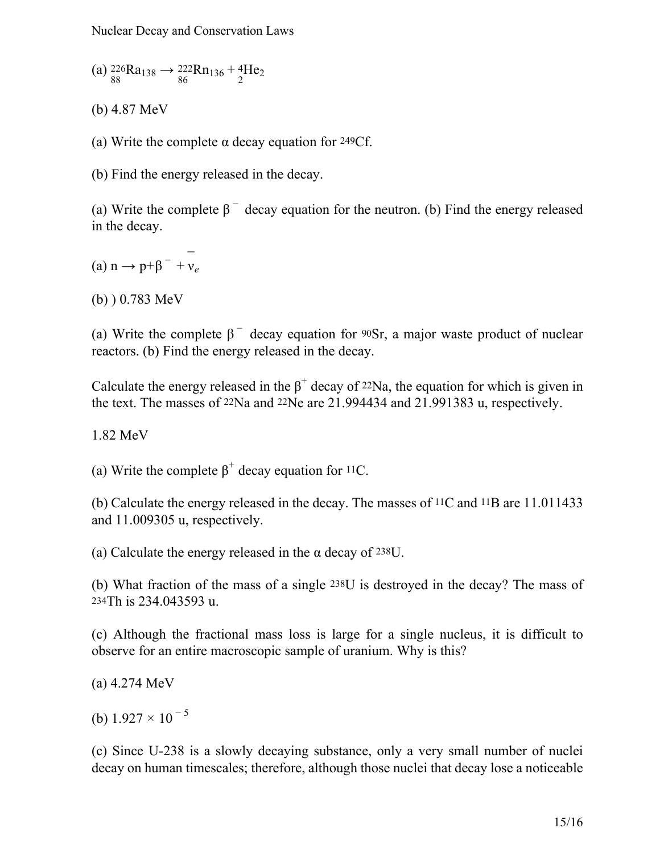Nuclear Decay and Conservation Laws

(a)  ${}^{226}_{88}Ra_{138} \rightarrow {}^{222}_{86}Rn_{136} + {}^{4}_{2}He_{2}$ 

(b) 4.87 MeV

(a) Write the complete  $\alpha$  decay equation for 249Cf.

(b) Find the energy released in the decay.

(a) Write the complete  $\beta^-$  decay equation for the neutron. (b) Find the energy released in the decay.

(a) n → p+β<sup>-</sup> +  $\frac{1}{v_e}$ 

(b) ) 0.783 MeV

(a) Write the complete  $\beta^-$  decay equation for 90Sr, a major waste product of nuclear reactors. (b) Find the energy released in the decay.

Calculate the energy released in the  $\beta^+$  decay of <sup>22</sup>Na, the equation for which is given in the text. The masses of 22Na and 22Ne are 21.994434 and 21.991383 u, respectively.

1.82 MeV

(a) Write the complete  $\beta^+$  decay equation for <sup>11</sup>C.

(b) Calculate the energy released in the decay. The masses of 11C and 11B are 11.011433 and 11.009305 u, respectively.

(a) Calculate the energy released in the  $\alpha$  decay of 238U.

(b) What fraction of the mass of a single 238U is destroyed in the decay? The mass of 234Th is 234.043593 u.

(c) Although the fractional mass loss is large for a single nucleus, it is difficult to observe for an entire macroscopic sample of uranium. Why is this?

(a) 4.274 MeV

(b)  $1.927 \times 10^{-5}$ 

(c) Since U-238 is a slowly decaying substance, only a very small number of nuclei decay on human timescales; therefore, although those nuclei that decay lose a noticeable